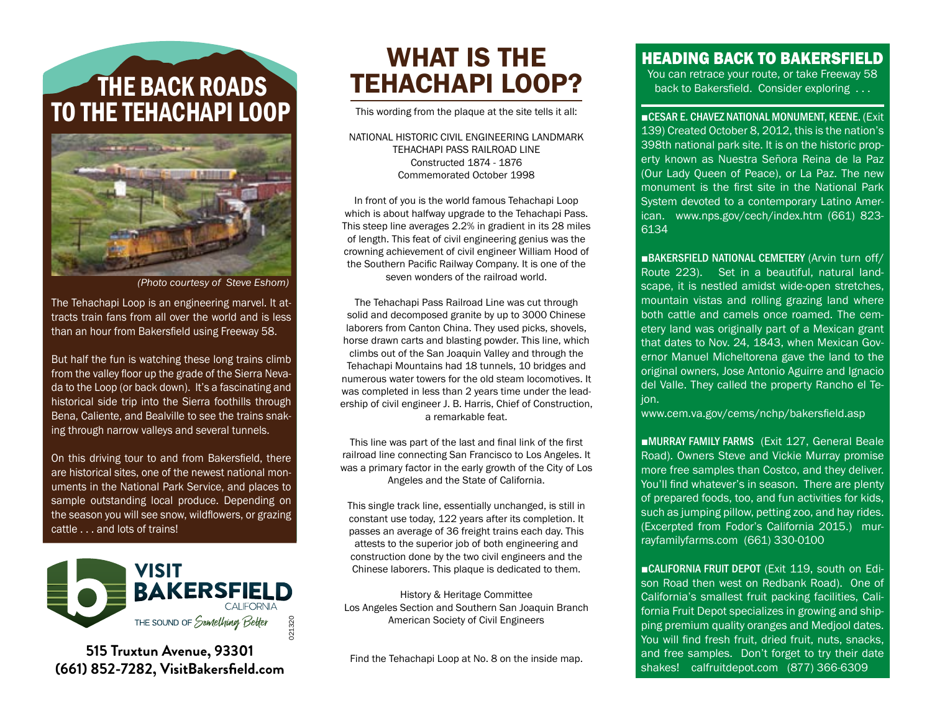## THE BACK ROADS TO THE TEHACHAPI LOOP



*(Photo courtesy of Steve Eshom)*

The Tehachapi Loop is an engineering marvel. It attracts train fans from all over the world and is less than an hour from Bakersfield using Freeway 58.

But half the fun is watching these long trains climb from the valley floor up the grade of the Sierra Nevada to the Loop (or back down). It's a fascinating and historical side trip into the Sierra foothills through Bena, Caliente, and Bealville to see the trains snaking through narrow valleys and several tunnels.

On this driving tour to and from Bakersfield, there are historical sites, one of the newest national monuments in the National Park Service, and places to sample outstanding local produce. Depending on the season you will see snow, wildflowers, or grazing cattle . . . and lots of trains!



**515 Truxtun Avenue, 93301 (661) 852-7282, VisitBakersfield.com**

## WHAT IS THE TEHACHAPI LOOP?

This wording from the plaque at the site tells it all:

NATIONAL HISTORIC CIVIL ENGINEERING LANDMARK TEHACHAPI PASS RAILROAD LINE Constructed 1874 - 1876 Commemorated October 1998

In front of you is the world famous Tehachapi Loop which is about halfway upgrade to the Tehachapi Pass. This steep line averages 2.2% in gradient in its 28 miles of length. This feat of civil engineering genius was the crowning achievement of civil engineer William Hood of the Southern Pacific Railway Company. It is one of the seven wonders of the railroad world.

The Tehachapi Pass Railroad Line was cut through solid and decomposed granite by up to 3000 Chinese laborers from Canton China. They used picks, shovels, horse drawn carts and blasting powder. This line, which climbs out of the San Joaquin Valley and through the Tehachapi Mountains had 18 tunnels, 10 bridges and numerous water towers for the old steam locomotives. It was completed in less than 2 years time under the leadership of civil engineer J. B. Harris, Chief of Construction, a remarkable feat.

This line was part of the last and final link of the first railroad line connecting San Francisco to Los Angeles. It was a primary factor in the early growth of the City of Los Angeles and the State of California.

This single track line, essentially unchanged, is still in constant use today, 122 years after its completion. It passes an average of 36 freight trains each day. This attests to the superior job of both engineering and construction done by the two civil engineers and the Chinese laborers. This plaque is dedicated to them.

History & Heritage Committee Los Angeles Section and Southern San Joaquin Branch American Society of Civil Engineers

Find the Tehachapi Loop at No. 8 on the inside map.

## HEADING BACK TO BAKERSFIELD

You can retrace your route, or take Freeway 58 back to Bakersfield. Consider exploring . . .

■CESAR E. CHAVEZ NATIONAL MONUMENT, KEENE. (Exit 139) Created October 8, 2012, this is the nation's 398th national park site. It is on the historic property known as Nuestra Señora Reina de la Paz (Our Lady Queen of Peace), or La Paz. The new monument is the first site in the National Park System devoted to a contemporary Latino American. www.nps.gov/cech/index.htm (661) 823- 6134

■BAKERSFIELD NATIONAL CEMETERY (Arvin turn off/ Route 223). Set in a beautiful, natural landscape, it is nestled amidst wide-open stretches, mountain vistas and rolling grazing land where both cattle and camels once roamed. The cemetery land was originally part of a Mexican grant that dates to Nov. 24, 1843, when Mexican Governor Manuel Micheltorena gave the land to the original owners, Jose Antonio Aguirre and Ignacio del Valle. They called the property Rancho el Tejon.

www.cem.va.gov/cems/nchp/bakersfield.asp

■MURRAY FAMILY FARMS (Exit 127, General Beale Road). Owners Steve and Vickie Murray promise more free samples than Costco, and they deliver. You'll find whatever's in season. There are plenty of prepared foods, too, and fun activities for kids, such as jumping pillow, petting zoo, and hay rides. (Excerpted from Fodor's California 2015.) murrayfamilyfarms.com (661) 330-0100

■CALIFORNIA FRUIT DEPOT (Exit 119, south on Edison Road then west on Redbank Road). One of California's smallest fruit packing facilities, California Fruit Depot specializes in growing and shipping premium quality oranges and Medjool dates. You will find fresh fruit, dried fruit, nuts, snacks, and free samples. Don't forget to try their date shakes! calfruitdepot.com (877) 366-6309